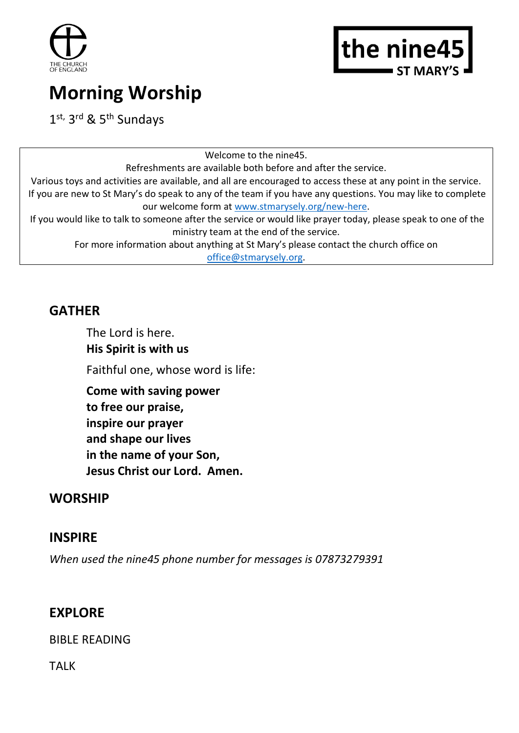



# **Morning Worship**

1st, 3rd & 5th Sundays

Welcome to the nine45. Refreshments are available both before and after the service. Various toys and activities are available, and all are encouraged to access these at any point in the service. If you are new to St Mary's do speak to any of the team if you have any questions. You may like to complete our welcome form at [www.stmarysely.org/new-here.](http://www.stmarysely.org/new-here) If you would like to talk to someone after the service or would like prayer today, please speak to one of the ministry team at the end of the service. For more information about anything at St Mary's please contact the church office on [office@stmarysely.org.](mailto:office@stmarysely.org)

## **GATHER**

The Lord is here. **His Spirit is with us** Faithful one, whose word is life:

**Come with saving power to free our praise, inspire our prayer and shape our lives in the name of your Son, Jesus Christ our Lord. Amen.**

## **WORSHIP**

## **INSPIRE**

*When used the nine45 phone number for messages is 07873279391*

## **EXPLORE**

BIBLE READING

TALK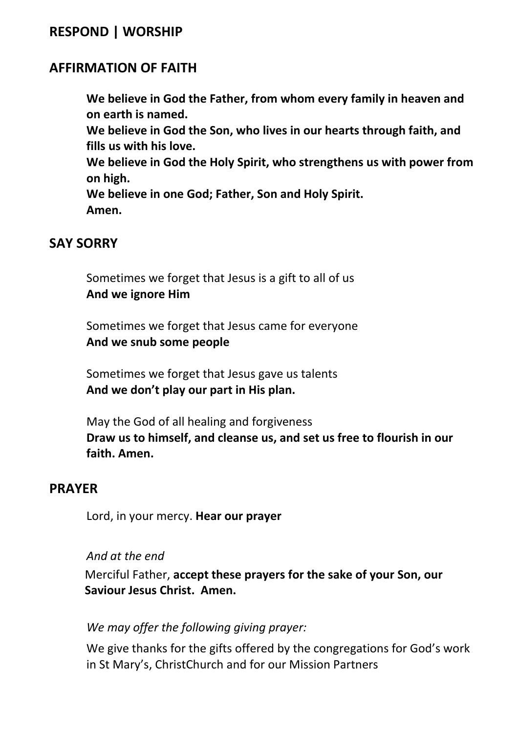## **RESPOND | WORSHIP**

## **AFFIRMATION OF FAITH**

**We believe in God the Father, from whom every family in heaven and on earth is named.** 

**We believe in God the Son, who lives in our hearts through faith, and fills us with his love.** 

**We believe in God the Holy Spirit, who strengthens us with power from on high.** 

**We believe in one God; Father, Son and Holy Spirit. Amen.**

#### **SAY SORRY**

Sometimes we forget that Jesus is a gift to all of us **And we ignore Him**

Sometimes we forget that Jesus came for everyone **And we snub some people**

Sometimes we forget that Jesus gave us talents **And we don't play our part in His plan.**

May the God of all healing and forgiveness **Draw us to himself, and cleanse us, and set us free to flourish in our faith. Amen.**

#### **PRAYER**

Lord, in your mercy. **Hear our prayer**

#### *And at the end*

Merciful Father, **accept these prayers for the sake of your Son, our Saviour Jesus Christ. Amen.** 

#### *We may offer the following giving prayer:*

We give thanks for the gifts offered by the congregations for God's work in St Mary's, ChristChurch and for our Mission Partners